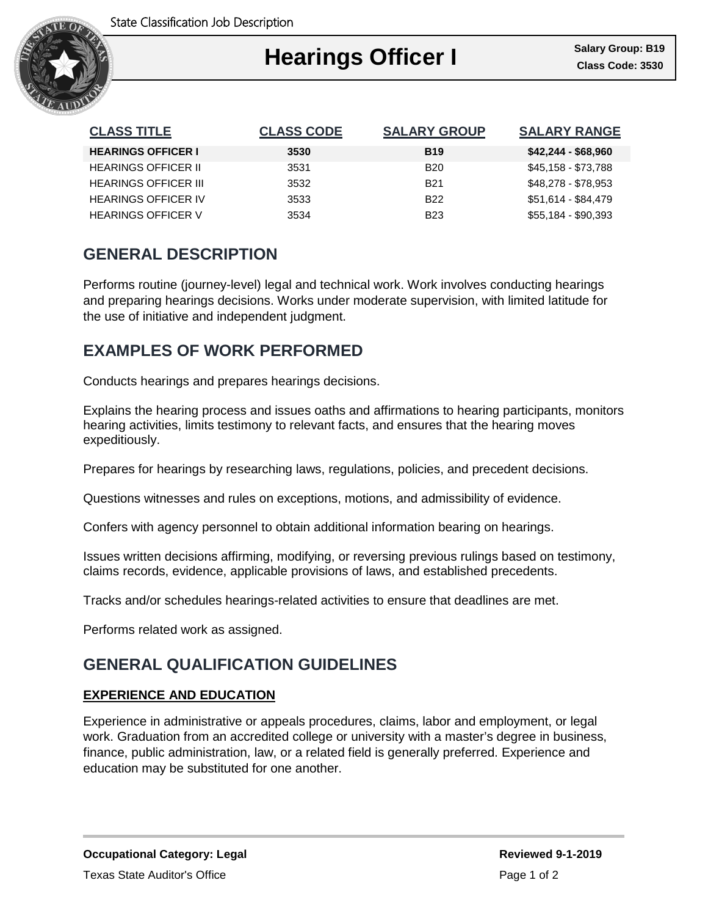

| <b>CLASS TITLE</b>          | <b>CLASS CODE</b> | <b>SALARY GROUP</b> | <b>SALARY RANGE</b> |
|-----------------------------|-------------------|---------------------|---------------------|
| <b>HEARINGS OFFICER I</b>   | 3530              | <b>B19</b>          | $$42,244 - $68,960$ |
| <b>HEARINGS OFFICER II</b>  | 3531              | <b>B20</b>          | \$45,158 - \$73,788 |
| <b>HEARINGS OFFICER III</b> | 3532              | <b>B21</b>          | \$48,278 - \$78,953 |
| <b>HEARINGS OFFICER IV</b>  | 3533              | <b>B22</b>          | \$51,614 - \$84,479 |
| <b>HEARINGS OFFICER V</b>   | 3534              | <b>B23</b>          | \$55,184 - \$90,393 |

## **GENERAL DESCRIPTION**

Performs routine (journey-level) legal and technical work. Work involves conducting hearings and preparing hearings decisions. Works under moderate supervision, with limited latitude for the use of initiative and independent judgment.

# **EXAMPLES OF WORK PERFORMED**

Conducts hearings and prepares hearings decisions.

Explains the hearing process and issues oaths and affirmations to hearing participants, monitors hearing activities, limits testimony to relevant facts, and ensures that the hearing moves expeditiously.

Prepares for hearings by researching laws, regulations, policies, and precedent decisions.

Questions witnesses and rules on exceptions, motions, and admissibility of evidence.

Confers with agency personnel to obtain additional information bearing on hearings.

Issues written decisions affirming, modifying, or reversing previous rulings based on testimony, claims records, evidence, applicable provisions of laws, and established precedents.

Tracks and/or schedules hearings-related activities to ensure that deadlines are met.

Performs related work as assigned.

# **GENERAL QUALIFICATION GUIDELINES**

### **EXPERIENCE AND EDUCATION**

Experience in administrative or appeals procedures, claims, labor and employment, or legal work. Graduation from an accredited college or university with a master's degree in business, finance, public administration, law, or a related field is generally preferred. Experience and education may be substituted for one another.